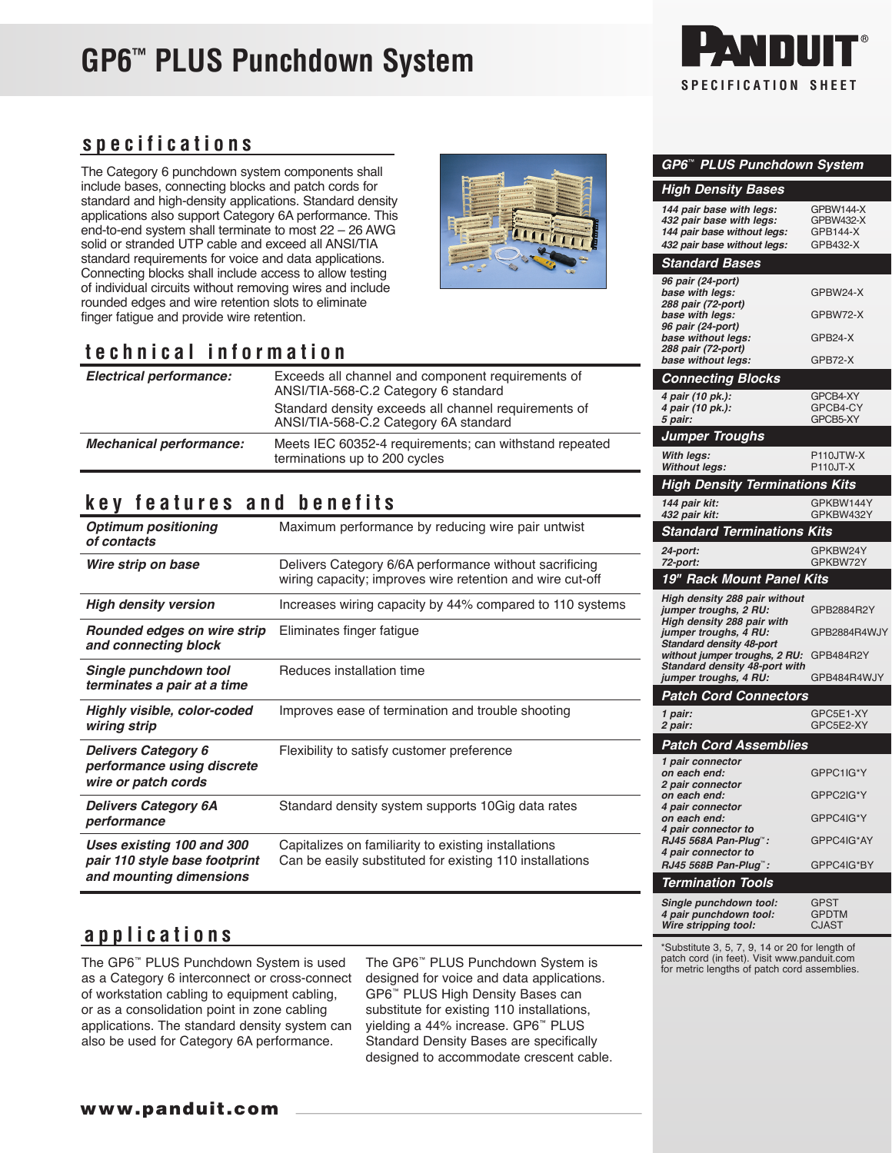## **GP6™ PLUS Punchdown System**



*GP6*™ *PLUS Punchdown System*

*144 pair base with legs:* GPBW144-X *432 pair base with legs:* GPBW432-X

*432 pair base without legs:* GPB432-X

*High Density Bases*

144 pair base without legs:

*Standard Bases*

### **specifications**

The Category 6 punchdown system components shall include bases, connecting blocks and patch cords for standard and high-density applications. Standard density applications also support Category 6A performance. This end-to-end system shall terminate to most 22 – 26 AWG solid or stranded UTP cable and exceed all ANSI/TIA standard requirements for voice and data applications. Connecting blocks shall include access to allow testing of individual circuits without removing wires and include rounded edges and wire retention slots to eliminate finger fatigue and provide wire retention.

### **technical information**

| <b>Electrical performance:</b> | Exceeds all channel and component requirements of<br>ANSI/TIA-568-C.2 Category 6 standard<br>Standard density exceeds all channel requirements of<br>ANSI/TIA-568-C.2 Category 6A standard |
|--------------------------------|--------------------------------------------------------------------------------------------------------------------------------------------------------------------------------------------|
| <b>Mechanical performance:</b> | Meets IEC 60352-4 requirements; can withstand repeated<br>terminations up to 200 cycles                                                                                                    |

### **key features and benefits**

| <b>Optimum positioning</b><br>of contacts                                             | Maximum performance by reducing wire pair untwist                                                                   |
|---------------------------------------------------------------------------------------|---------------------------------------------------------------------------------------------------------------------|
| Wire strip on base                                                                    | Delivers Category 6/6A performance without sacrificing<br>wiring capacity; improves wire retention and wire cut-off |
| <b>High density version</b>                                                           | Increases wiring capacity by 44% compared to 110 systems                                                            |
| Rounded edges on wire strip<br>and connecting block                                   | Eliminates finger fatigue                                                                                           |
| Single punchdown tool<br>terminates a pair at a time                                  | Reduces installation time                                                                                           |
| Highly visible, color-coded<br>wiring strip                                           | Improves ease of termination and trouble shooting                                                                   |
| <b>Delivers Category 6</b><br>performance using discrete<br>wire or patch cords       | Flexibility to satisfy customer preference                                                                          |
| <b>Delivers Category 6A</b><br>performance                                            | Standard density system supports 10 Gig data rates                                                                  |
| Uses existing 100 and 300<br>pair 110 style base footprint<br>and mounting dimensions | Capitalizes on familiarity to existing installations<br>Can be easily substituted for existing 110 installations    |

| 96 pair (24-port)                                                |                      |
|------------------------------------------------------------------|----------------------|
| base with legs:<br>288 pair (72-port)                            | GPBW24-X             |
| base with legs:<br>96 pair (24-port)                             | GPBW72-X             |
| base without legs:                                               | GPB24-X              |
| 288 pair (72-port)<br>base without legs:                         | GPB72-X              |
|                                                                  |                      |
| <b>Connecting Blocks</b>                                         |                      |
| 4 pair (10 pk.):                                                 | GPCB4-XY             |
| 4 pair (10 pk.):<br>5 pair:                                      | GPCB4-CY<br>GPCB5-XY |
| <b>Jumper Troughs</b>                                            |                      |
| With legs:                                                       | P110JTW-X            |
| <b>Without legs:</b>                                             | P110JT-X             |
| <b>High Density Terminations Kits</b>                            |                      |
| 144 pair kit:                                                    | GPKBW144Y            |
| 432 pair kit:                                                    | GPKBW432Y            |
| <b>Standard Terminations Kits</b>                                |                      |
| 24-port:                                                         | GPKBW24Y             |
| 72-port:                                                         | GPKBW72Y             |
| 19" Rack Mount Panel Kits                                        |                      |
| High density 288 pair without                                    |                      |
| jumper troughs, 2 RU:<br>High density 288 pair with              | GPB2884R2Y           |
| jumper troughs, 4 RU:                                            | GPB2884R4WJY         |
| <b>Standard density 48-port</b><br>without jumper troughs, 2 RU: | GPB484R2Y            |
| Standard density 48-port with                                    |                      |
| jumper troughs, 4 RU:                                            | GPB484R4WJY          |
| <b>Patch Cord Connectors</b>                                     |                      |
| 1 pair:                                                          | GPC5E1-XY            |
| 2 pair:                                                          | GPC5E2-XY            |
| <b>Patch Cord Assemblies</b>                                     |                      |
| 1 pair connector<br>on each end:                                 | GPPC1IG*Y            |
| 2 pair connector                                                 |                      |
| on each end:                                                     | GPPC2IG*Y            |
| 4 pair connector<br>on each end:                                 | GPPC4IG*Y            |
| 4 pair connector to                                              |                      |
| RJ45 568A Pan-Plug":<br>4 pair connector to                      | GPPC4IG*AY           |
| RJ45 568B Pan-Pluq™:                                             | GPPC4IG*BY           |
| Termination Tools                                                |                      |
| Single punchdown tool:                                           | GPST                 |
| 4 pair punchdown tool:                                           | <b>GPDTM</b>         |
| Wire stripping tool:                                             | <b>CJAST</b>         |

### **applications**

The GP6™ PLUS Punchdown System is used as a Category 6 interconnect or cross-connect of workstation cabling to equipment cabling, or as a consolidation point in zone cabling applications. The standard density system can also be used for Category 6A performance.

The GP6™ PLUS Punchdown System is designed for voice and data applications. GP6™ PLUS High Density Bases can substitute for existing 110 installations, yielding a 44% increase. GP6™ PLUS Standard Density Bases are specifically designed to accommodate crescent cable. \*Substitute 3, 5, 7, 9, 14 or 20 for length of patch cord (in feet). Visit www.panduit.com for metric lengths of patch cord assemblies.